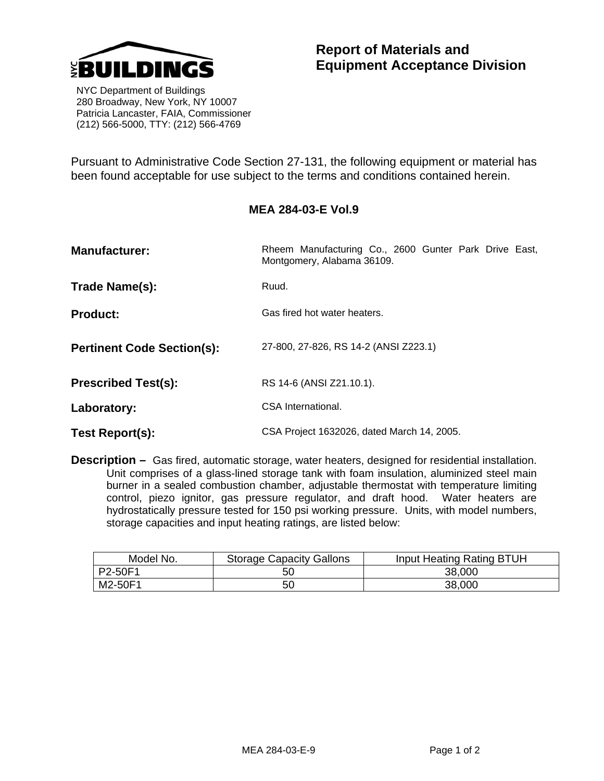

## **Report of Materials and Equipment Acceptance Division**

 NYC Department of Buildings 280 Broadway, New York, NY 10007 Patricia Lancaster, FAIA, Commissioner (212) 566-5000, TTY: (212) 566-4769

Pursuant to Administrative Code Section 27-131, the following equipment or material has been found acceptable for use subject to the terms and conditions contained herein.

## **MEA 284-03-E Vol.9**

| <b>Manufacturer:</b>              | Rheem Manufacturing Co., 2600 Gunter Park Drive East,<br>Montgomery, Alabama 36109. |  |
|-----------------------------------|-------------------------------------------------------------------------------------|--|
| Trade Name(s):                    | Ruud.                                                                               |  |
| <b>Product:</b>                   | Gas fired hot water heaters.                                                        |  |
| <b>Pertinent Code Section(s):</b> | 27-800, 27-826, RS 14-2 (ANSI Z223.1)                                               |  |
| <b>Prescribed Test(s):</b>        | RS 14-6 (ANSI Z21.10.1).                                                            |  |
| Laboratory:                       | CSA International.                                                                  |  |
| Test Report(s):                   | CSA Project 1632026, dated March 14, 2005.                                          |  |

**Description –** Gas fired, automatic storage, water heaters, designed for residential installation. Unit comprises of a glass-lined storage tank with foam insulation, aluminized steel main burner in a sealed combustion chamber, adjustable thermostat with temperature limiting control, piezo ignitor, gas pressure regulator, and draft hood. Water heaters are hydrostatically pressure tested for 150 psi working pressure. Units, with model numbers, storage capacities and input heating ratings, are listed below:

| Model No. | <b>Storage Capacity Gallons</b> | Input Heating Rating BTUH |
|-----------|---------------------------------|---------------------------|
| P2-50F1   | 50                              | 38,000                    |
| M2-50F1   | 50                              | 38,000                    |